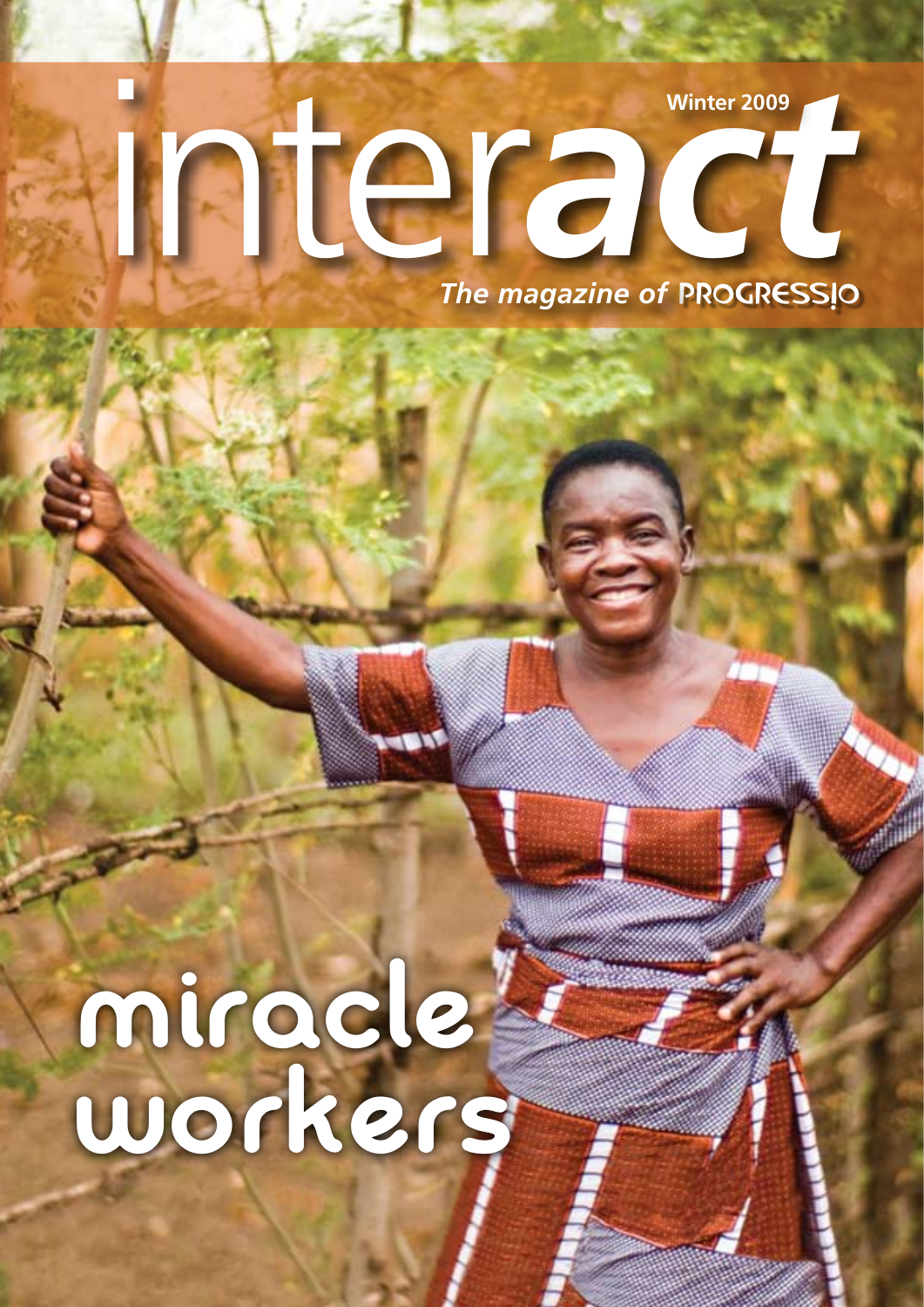# inter*act The magazine of* **Winter 2009**

# **miracle workers**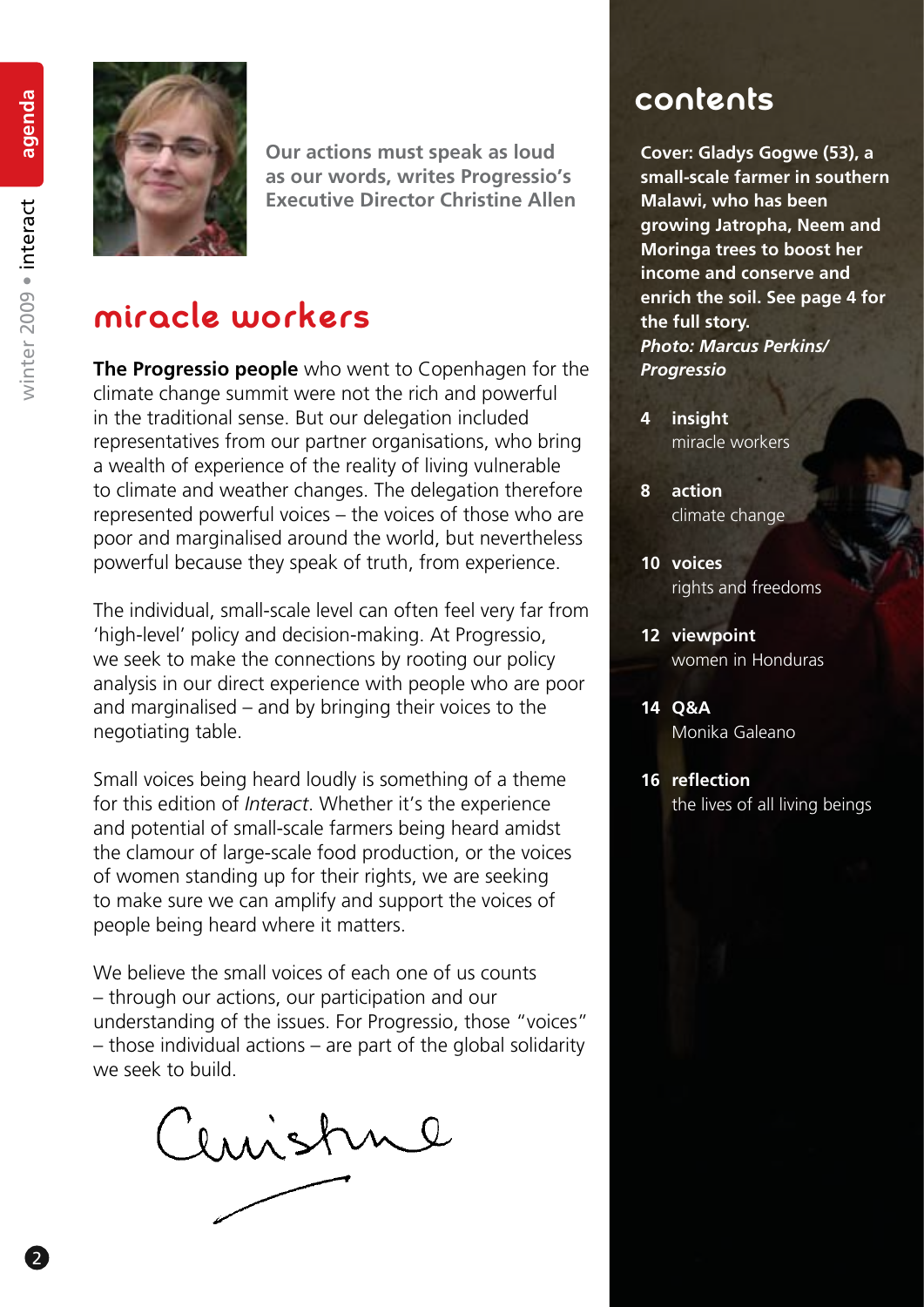

**Our actions must speak as loud as our words, writes Progressio's Executive Director Christine Allen**

### **miracle workers**

**The Progressio people** who went to Copenhagen for the climate change summit were not the rich and powerful in the traditional sense. But our delegation included representatives from our partner organisations, who bring a wealth of experience of the reality of living vulnerable to climate and weather changes. The delegation therefore represented powerful voices – the voices of those who are poor and marginalised around the world, but nevertheless powerful because they speak of truth, from experience.

The individual, small-scale level can often feel very far from 'high-level' policy and decision-making. At Progressio, we seek to make the connections by rooting our policy analysis in our direct experience with people who are poor and marginalised – and by bringing their voices to the negotiating table.

Small voices being heard loudly is something of a theme for this edition of *Interact*. Whether it's the experience and potential of small-scale farmers being heard amidst the clamour of large-scale food production, or the voices of women standing up for their rights, we are seeking to make sure we can amplify and support the voices of people being heard where it matters.

We believe the small voices of each one of us counts – through our actions, our participation and our understanding of the issues. For Progressio, those "voices" – those individual actions – are part of the global solidarity we seek to build.

Cenistine

### **contents**

**Cover: Gladys Gogwe (53), a small-scale farmer in southern Malawi, who has been growing Jatropha, Neem and Moringa trees to boost her income and conserve and enrich the soil. See page 4 for the full story.**  *Photo: Marcus Perkins/ Progressio*

- **4 insight** miracle workers
- **8 action** climate change
- **10 voices** rights and freedoms
- **12 viewpoint** women in Honduras
- **14 Q&A** Monika Galeano
- **16 reflection** the lives of all living beings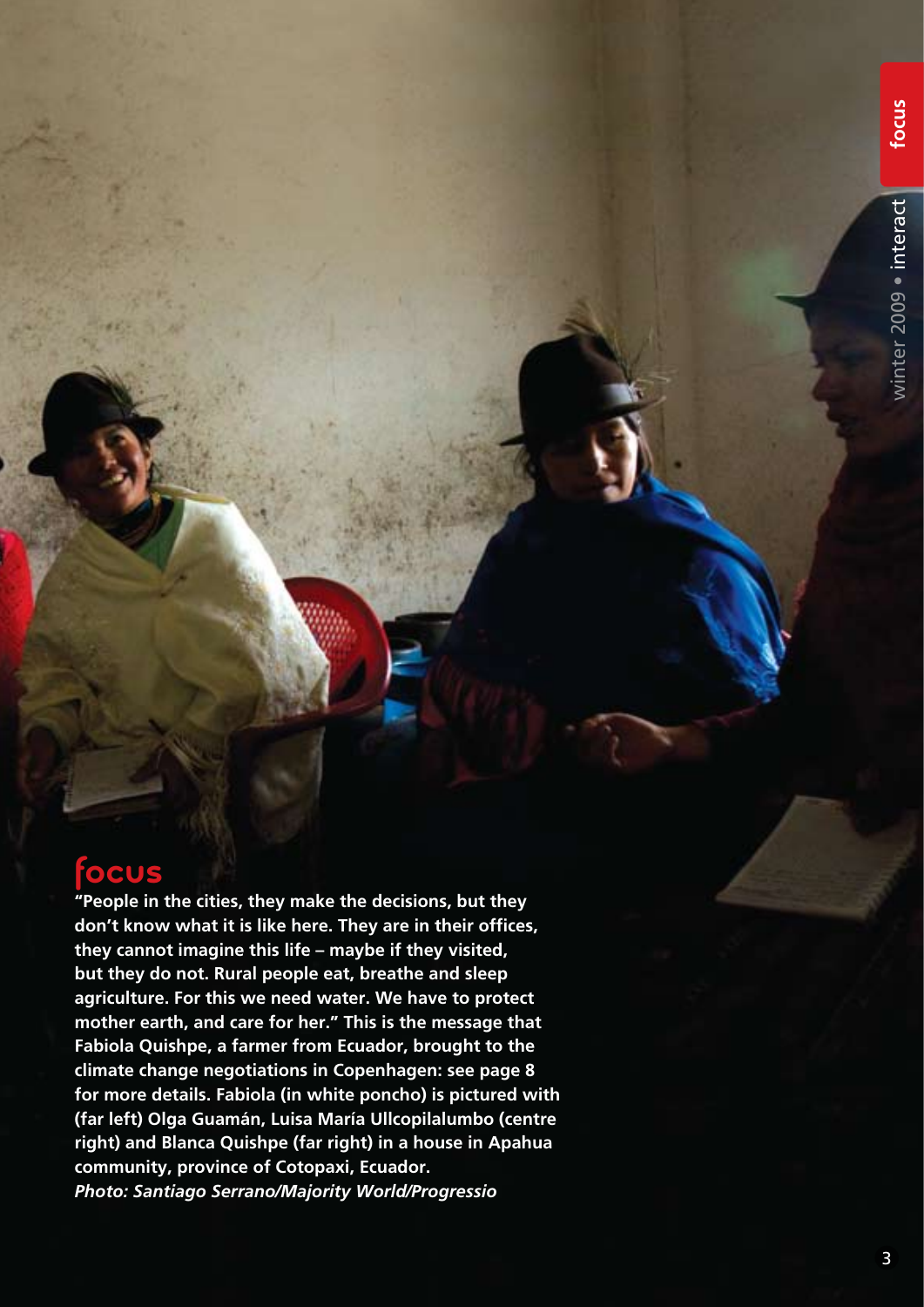## **focus**

**"People in the cities, they make the decisions, but they don't know what it is like here. They are in their offices, they cannot imagine this life – maybe if they visited, but they do not. Rural people eat, breathe and sleep agriculture. For this we need water. We have to protect mother earth, and care for her." This is the message that Fabiola Quishpe, a farmer from Ecuador, brought to the climate change negotiations in Copenhagen: see page 8 for more details. Fabiola (in white poncho) is pictured with (far left) Olga Guamán, Luisa María Ullcopilalumbo (centre right) and Blanca Quishpe (far right) in a house in Apahua community, province of Cotopaxi, Ecuador.**  *Photo: Santiago Serrano/Majority World/Progressio*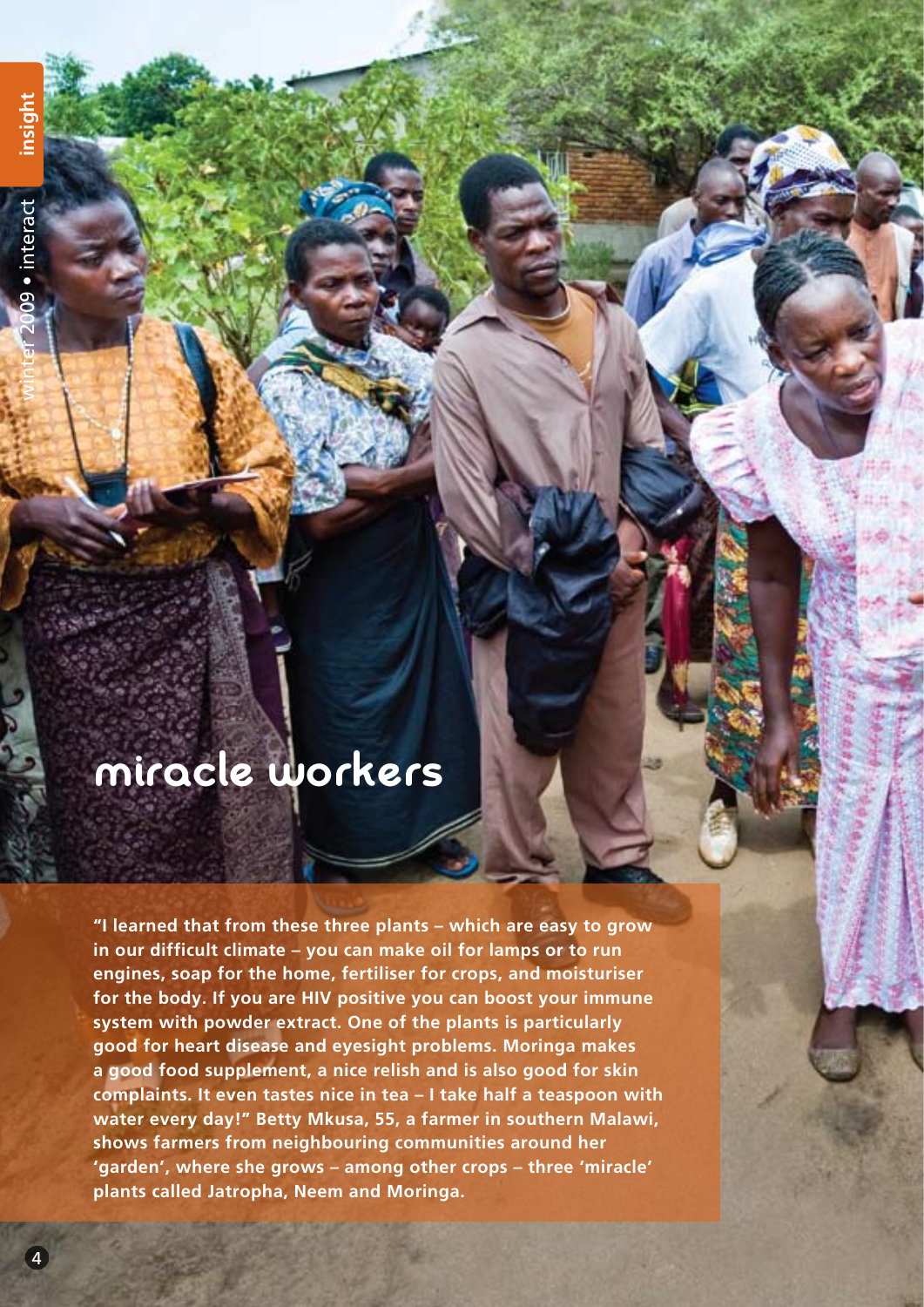## **miracle workers**

**"I learned that from these three plants – which are easy to grow in our difficult climate – you can make oil for lamps or to run engines, soap for the home, fertiliser for crops, and moisturiser for the body. If you are HIV positive you can boost your immune system with powder extract. One of the plants is particularly good for heart disease and eyesight problems. Moringa makes a good food supplement, a nice relish and is also good for skin complaints. It even tastes nice in tea – I take half a teaspoon with water every day!" Betty Mkusa, 55, a farmer in southern Malawi, shows farmers from neighbouring communities around her 'garden', where she grows – among other crops – three 'miracle' plants called Jatropha, Neem and Moringa.**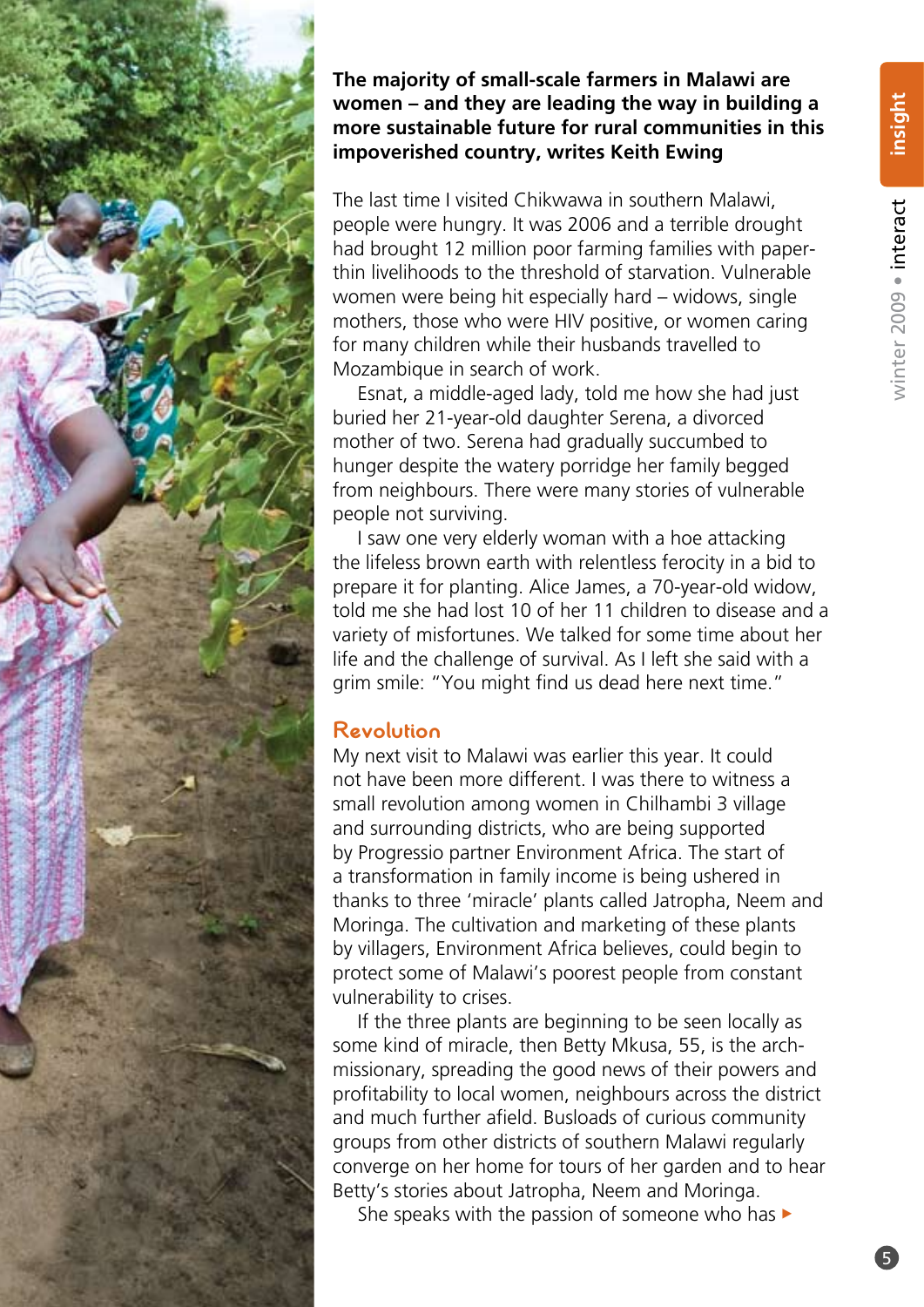

#### **The majority of small-scale farmers in Malawi are women – and they are leading the way in building a more sustainable future for rural communities in this impoverished country, writes Keith Ewing**

The last time I visited Chikwawa in southern Malawi, people were hungry. It was 2006 and a terrible drought had brought 12 million poor farming families with paperthin livelihoods to the threshold of starvation. Vulnerable women were being hit especially hard – widows, single mothers, those who were HIV positive, or women caring for many children while their husbands travelled to Mozambique in search of work.

Esnat, a middle-aged lady, told me how she had just buried her 21-year-old daughter Serena, a divorced mother of two. Serena had gradually succumbed to hunger despite the watery porridge her family begged from neighbours. There were many stories of vulnerable people not surviving.

I saw one very elderly woman with a hoe attacking the lifeless brown earth with relentless ferocity in a bid to prepare it for planting. Alice James, a 70-year-old widow, told me she had lost 10 of her 11 children to disease and a variety of misfortunes. We talked for some time about her life and the challenge of survival. As I left she said with a grim smile: "You might find us dead here next time."

#### **Revolution**

My next visit to Malawi was earlier this year. It could not have been more different. I was there to witness a small revolution among women in Chilhambi 3 village and surrounding districts, who are being supported by Progressio partner Environment Africa. The start of a transformation in family income is being ushered in thanks to three 'miracle' plants called Jatropha, Neem and Moringa. The cultivation and marketing of these plants by villagers, Environment Africa believes, could begin to protect some of Malawi's poorest people from constant vulnerability to crises.

If the three plants are beginning to be seen locally as some kind of miracle, then Betty Mkusa, 55, is the archmissionary, spreading the good news of their powers and profitability to local women, neighbours across the district and much further afield. Busloads of curious community groups from other districts of southern Malawi regularly converge on her home for tours of her garden and to hear Betty's stories about Jatropha, Neem and Moringa.

She speaks with the passion of someone who has ▶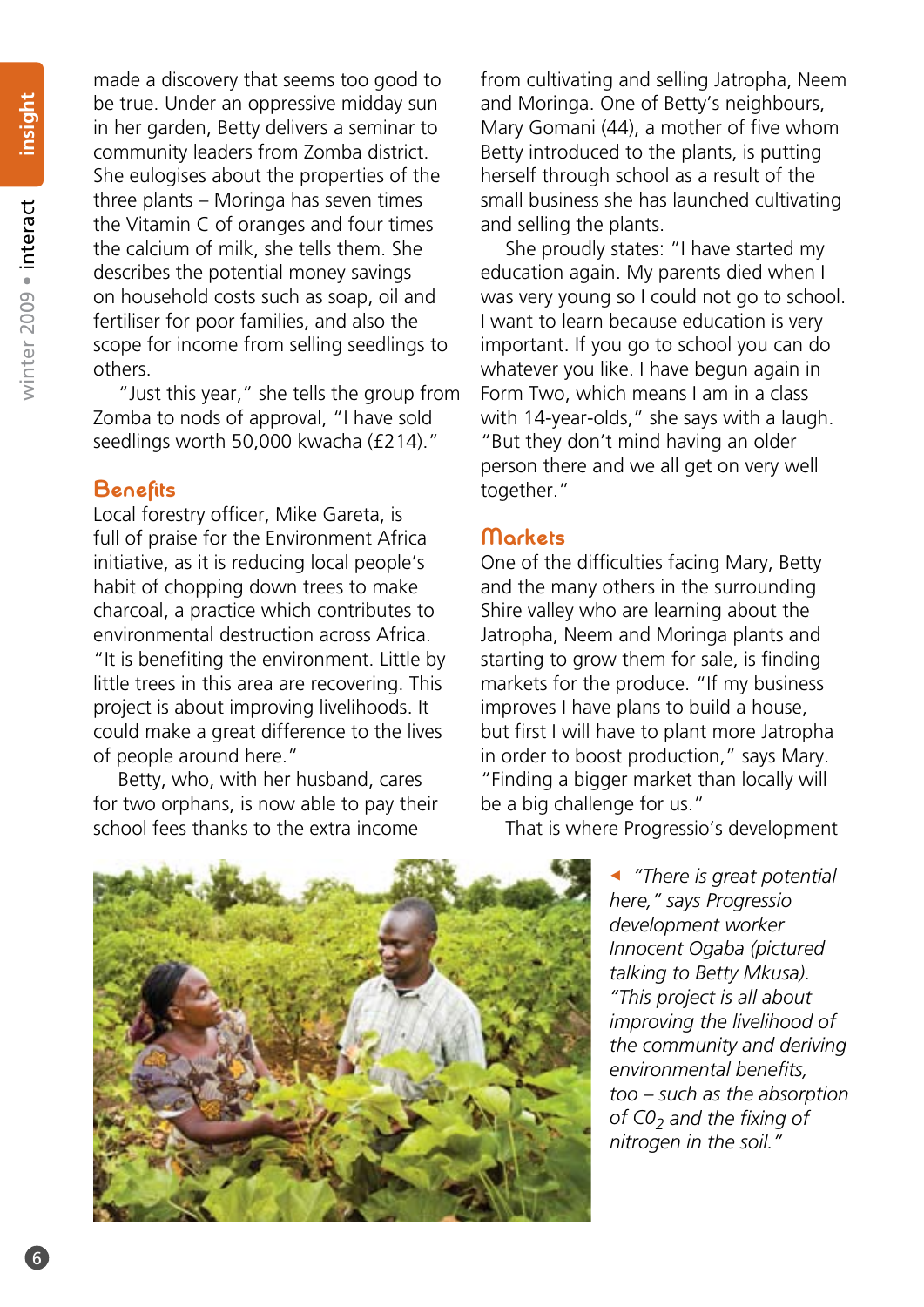made a discovery that seems too good to be true. Under an oppressive midday sun in her garden, Betty delivers a seminar to community leaders from Zomba district. She eulogises about the properties of the three plants – Moringa has seven times the Vitamin C of oranges and four times the calcium of milk, she tells them. She describes the potential money savings on household costs such as soap, oil and fertiliser for poor families, and also the scope for income from selling seedlings to others.

"Just this year," she tells the group from Zomba to nods of approval, "I have sold seedlings worth 50,000 kwacha (£214)."

#### **Benefits**

Local forestry officer, Mike Gareta, is full of praise for the Environment Africa initiative, as it is reducing local people's habit of chopping down trees to make charcoal, a practice which contributes to environmental destruction across Africa. "It is benefiting the environment. Little by little trees in this area are recovering. This project is about improving livelihoods. It could make a great difference to the lives of people around here."

Betty, who, with her husband, cares for two orphans, is now able to pay their school fees thanks to the extra income

from cultivating and selling Jatropha, Neem and Moringa. One of Betty's neighbours, Mary Gomani (44), a mother of five whom Betty introduced to the plants, is putting herself through school as a result of the small business she has launched cultivating and selling the plants.

She proudly states: "I have started my education again. My parents died when I was very young so I could not go to school. I want to learn because education is very important. If you go to school you can do whatever you like. I have begun again in Form Two, which means I am in a class with 14-year-olds," she says with a laugh. "But they don't mind having an older person there and we all get on very well together."

#### **Markets**

One of the difficulties facing Mary, Betty and the many others in the surrounding Shire valley who are learning about the Jatropha, Neem and Moringa plants and starting to grow them for sale, is finding markets for the produce. "If my business improves I have plans to build a house, but first I will have to plant more Jatropha in order to boost production," says Mary. "Finding a bigger market than locally will be a big challenge for us."



That is where Progressio's development

◀ *"There is great potential here," says Progressio development worker Innocent Ogaba (pictured talking to Betty Mkusa). "This project is all about improving the livelihood of the community and deriving environmental benefits, too – such as the absorption of C02 and the fixing of nitrogen in the soil."*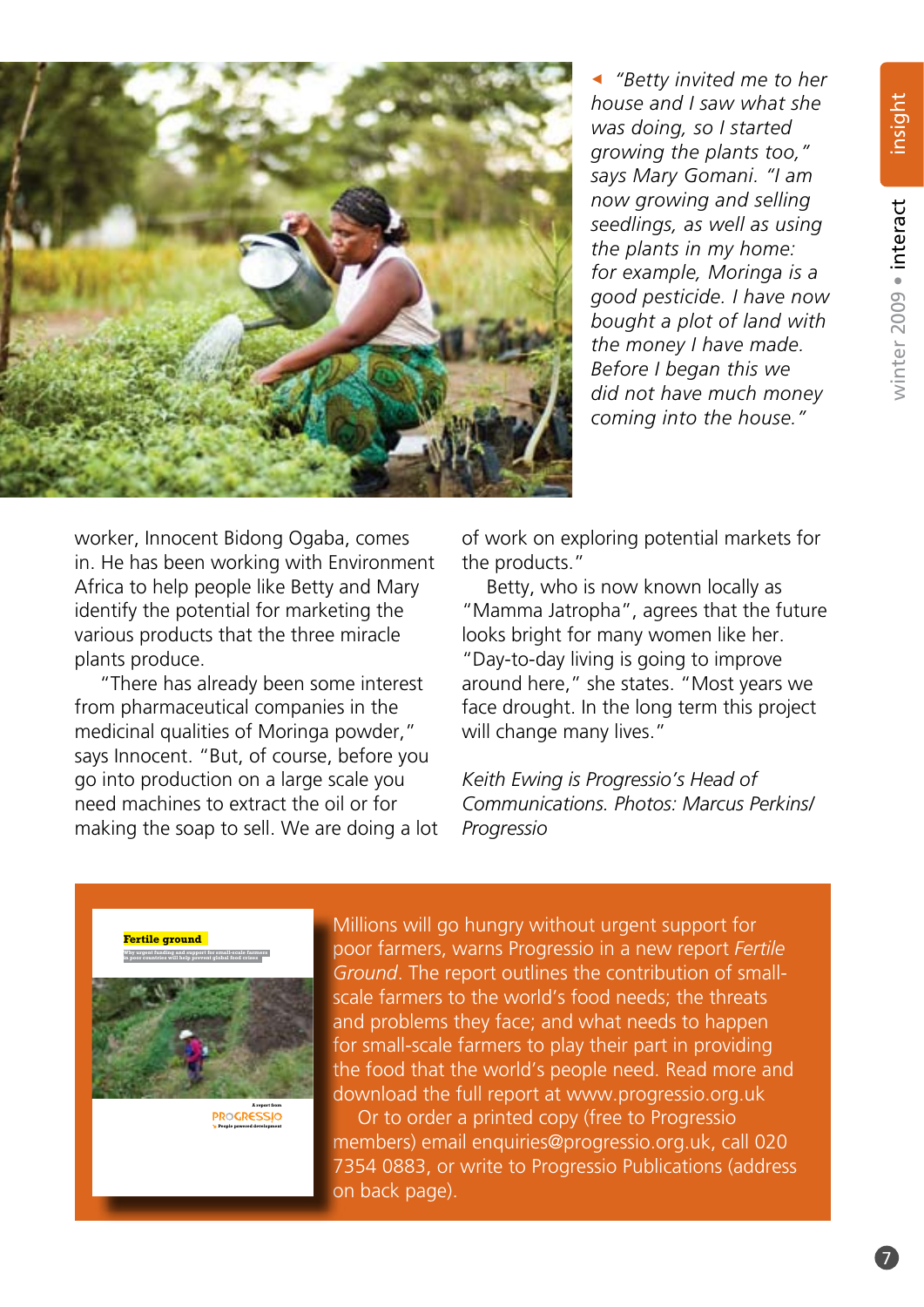

◀ *"Betty invited me to her house and I saw what she was doing, so I started growing the plants too," says Mary Gomani. "I am now growing and selling seedlings, as well as using the plants in my home: for example, Moringa is a good pesticide. I have now bought a plot of land with the money I have made. Before I began this we did not have much money coming into the house."*

worker, Innocent Bidong Ogaba, comes in. He has been working with Environment Africa to help people like Betty and Mary identify the potential for marketing the various products that the three miracle plants produce.

"There has already been some interest from pharmaceutical companies in the medicinal qualities of Moringa powder," says Innocent. "But, of course, before you go into production on a large scale you need machines to extract the oil or for making the soap to sell. We are doing a lot of work on exploring potential markets for the products."

Betty, who is now known locally as "Mamma Jatropha", agrees that the future looks bright for many women like her. "Day-to-day living is going to improve around here," she states. "Most years we face drought. In the long term this project will change many lives."

*Keith Ewing is Progressio's Head of Communications. Photos: Marcus Perkins/ Progressio*



**People powered development**

Millions will go hungry without urgent support for poor farmers, warns Progressio in a new report *Fertile Ground*. The report outlines the contribution of smallscale farmers to the world's food needs; the threats and problems they face; and what needs to happen for small-scale farmers to play their part in providing the food that the world's people need. Read more and download the full report at www.progressio.org.uk Or to order a printed copy (free to Progressio members) email enquiries@progressio.org.uk, call 020 7354 0883, or write to Progressio Publications (address on back page).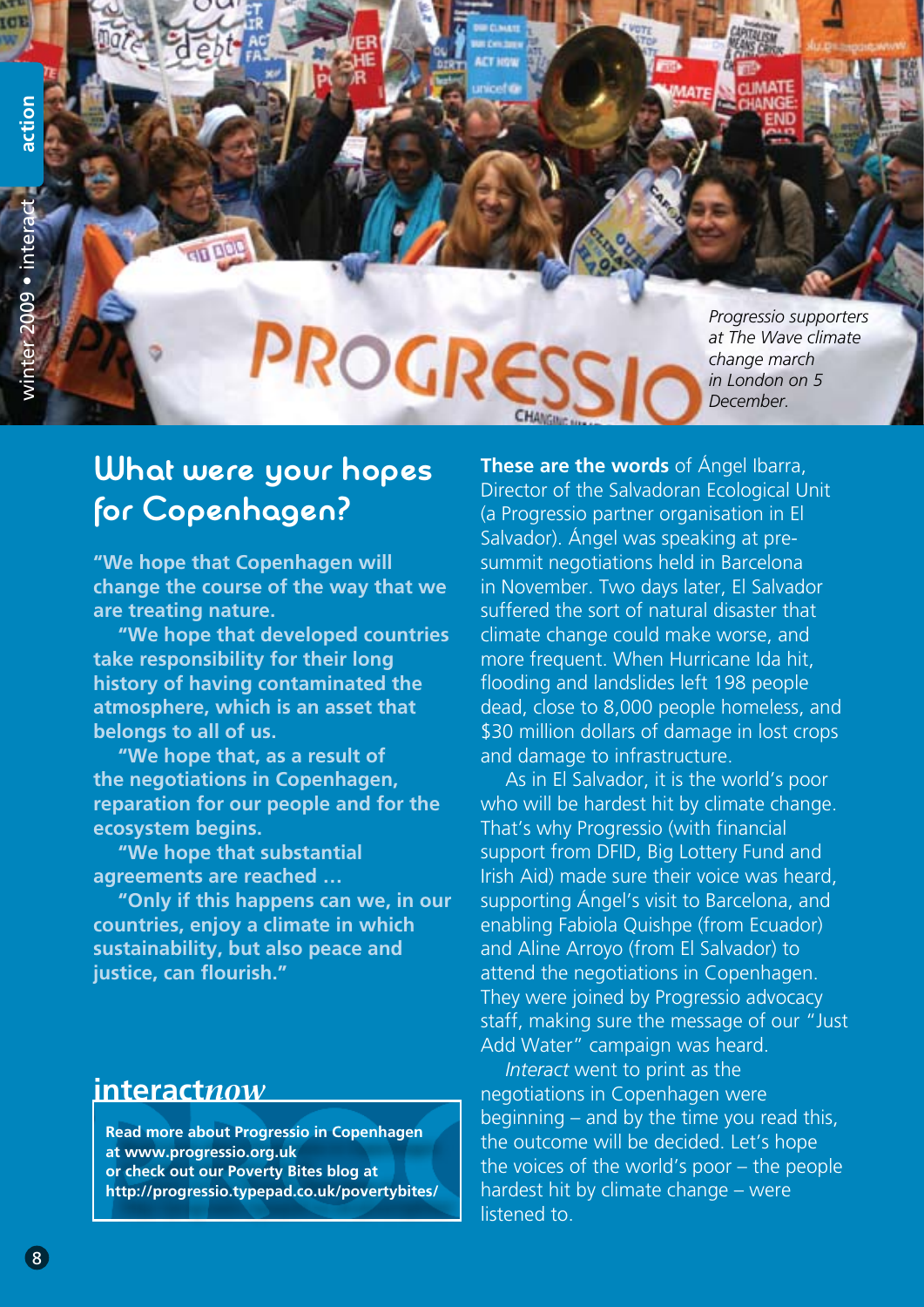*Progressio supporters at The Wave climate change march in London on 5 December.*

# **PROGRES**

## **What were your hopes for Copenhagen?**

**"We hope that Copenhagen will change the course of the way that we are treating nature.**

**"We hope that developed countries take responsibility for their long history of having contaminated the atmosphere, which is an asset that belongs to all of us.**

**"We hope that, as a result of the negotiations in Copenhagen, reparation for our people and for the ecosystem begins.** 

**"We hope that substantial agreements are reached …** 

**"Only if this happens can we, in our countries, enjoy a climate in which sustainability, but also peace and justice, can flourish."**

#### **interact***now*

**Read more about Progressio in Copenhagen at www.progressio.org.uk or check out our Poverty Bites blog at http://progressio.typepad.co.uk/povertybites/** **These are the words** of Ángel Ibarra, Director of the Salvadoran Ecological Unit (a Progressio partner organisation in El Salvador). Ángel was speaking at presummit negotiations held in Barcelona in November. Two days later, El Salvador suffered the sort of natural disaster that climate change could make worse, and more frequent. When Hurricane Ida hit, flooding and landslides left 198 people dead, close to 8,000 people homeless, and \$30 million dollars of damage in lost crops and damage to infrastructure.

As in El Salvador, it is the world's poor who will be hardest hit by climate change. That's why Progressio (with financial support from DFID, Big Lottery Fund and Irish Aid) made sure their voice was heard, supporting Ángel's visit to Barcelona, and enabling Fabiola Quishpe (from Ecuador) and Aline Arroyo (from El Salvador) to attend the negotiations in Copenhagen. They were joined by Progressio advocacy staff, making sure the message of our "Just Add Water" campaign was heard.

*Interact* went to print as the negotiations in Copenhagen were beginning – and by the time you read this, the outcome will be decided. Let's hope the voices of the world's poor – the people hardest hit by climate change – were listened to.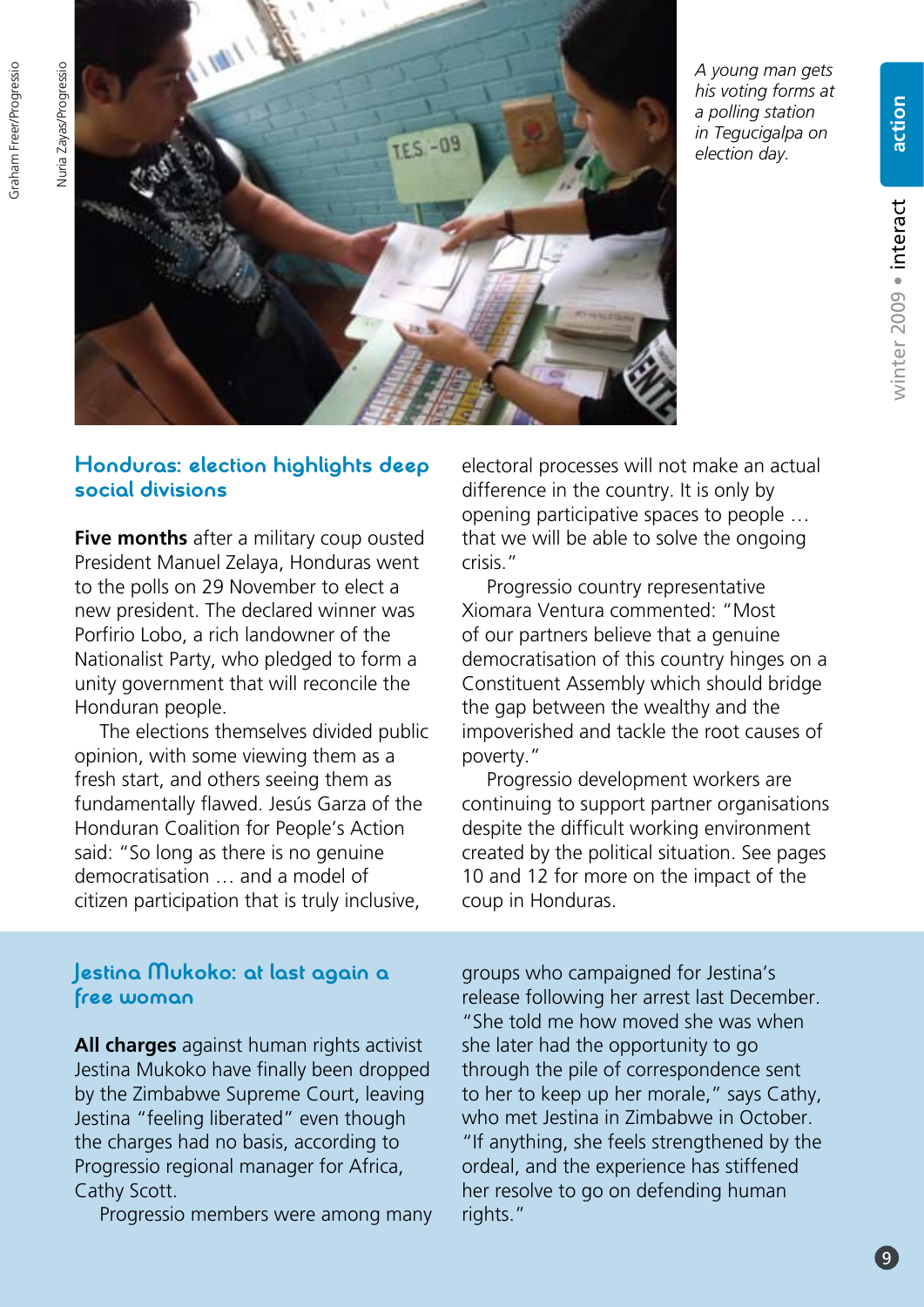Nuria Zayas/Progressio

Vuria Zayas/Progressio

**TES-09** 

*A young man gets his voting forms at a polling station in Tegucigalpa on election day.*

#### **Honduras: election highlights deep social divisions**

**Five months** after a military coup ousted President Manuel Zelaya, Honduras went to the polls on 29 November to elect a new president. The declared winner was Porfirio Lobo, a rich landowner of the Nationalist Party, who pledged to form a unity government that will reconcile the Honduran people.

The elections themselves divided public opinion, with some viewing them as a fresh start, and others seeing them as fundamentally flawed. Jesús Garza of the Honduran Coalition for People's Action said: "So long as there is no genuine democratisation … and a model of citizen participation that is truly inclusive,

#### **Jestina Mukoko: at last again a free woman**

**All charges** against human rights activist Jestina Mukoko have finally been dropped by the Zimbabwe Supreme Court, leaving Jestina "feeling liberated" even though the charges had no basis, according to Progressio regional manager for Africa, Cathy Scott.

Progressio members were among many

electoral processes will not make an actual difference in the country. It is only by opening participative spaces to people … that we will be able to solve the ongoing crisis."

Progressio country representative Xiomara Ventura commented: "Most of our partners believe that a genuine democratisation of this country hinges on a Constituent Assembly which should bridge the gap between the wealthy and the impoverished and tackle the root causes of poverty."

Progressio development workers are continuing to support partner organisations despite the difficult working environment created by the political situation. See pages 10 and 12 for more on the impact of the coup in Honduras.

groups who campaigned for Jestina's release following her arrest last December. "She told me how moved she was when she later had the opportunity to go through the pile of correspondence sent to her to keep up her morale," says Cathy, who met Jestina in Zimbabwe in October. "If anything, she feels strengthened by the ordeal, and the experience has stiffened her resolve to go on defending human rights."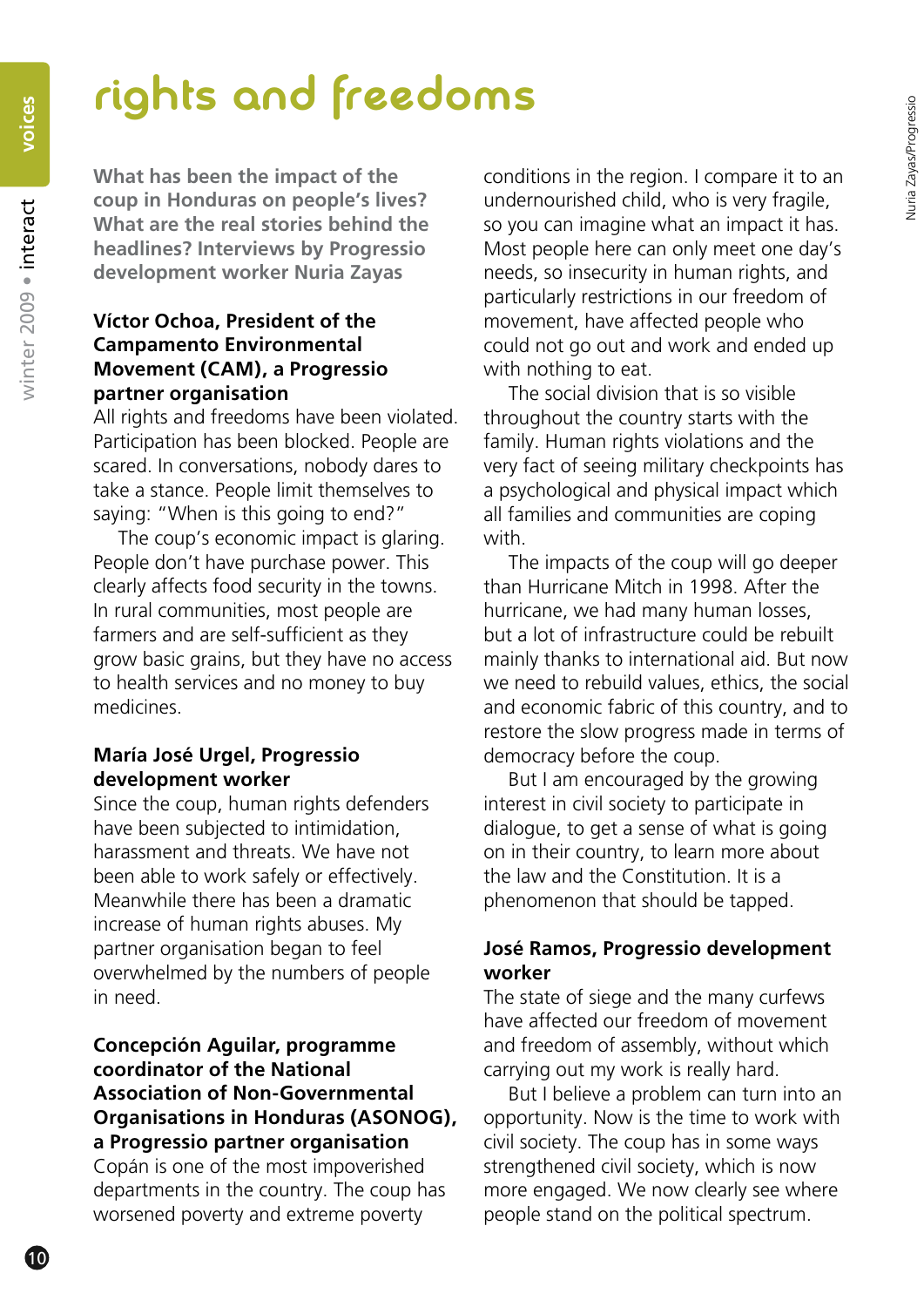# **rights and freedoms**

**What has been the impact of the coup in Honduras on people's lives? What are the real stories behind the headlines? Interviews by Progressio development worker Nuria Zayas**

#### **Víctor Ochoa, President of the Campamento Environmental Movement (CAM), a Progressio partner organisation**

All rights and freedoms have been violated. Participation has been blocked. People are scared. In conversations, nobody dares to take a stance. People limit themselves to saying: "When is this going to end?"

The coup's economic impact is glaring. People don't have purchase power. This clearly affects food security in the towns. In rural communities, most people are farmers and are self-sufficient as they grow basic grains, but they have no access to health services and no money to buy medicines.

#### **María José Urgel, Progressio development worker**

Since the coup, human rights defenders have been subjected to intimidation, harassment and threats. We have not been able to work safely or effectively. Meanwhile there has been a dramatic increase of human rights abuses. My partner organisation began to feel overwhelmed by the numbers of people in need.

#### **Concepción Aguilar, programme coordinator of the National Association of Non-Governmental Organisations in Honduras (ASONOG), a Progressio partner organisation**

Copán is one of the most impoverished departments in the country. The coup has worsened poverty and extreme poverty

conditions in the region. I compare it to an undernourished child, who is very fragile, so you can imagine what an impact it has. Most people here can only meet one day's needs, so insecurity in human rights, and particularly restrictions in our freedom of movement, have affected people who could not go out and work and ended up with nothing to eat.

The social division that is so visible throughout the country starts with the family. Human rights violations and the very fact of seeing military checkpoints has a psychological and physical impact which all families and communities are coping with.

The impacts of the coup will go deeper than Hurricane Mitch in 1998. After the hurricane, we had many human losses, but a lot of infrastructure could be rebuilt mainly thanks to international aid. But now we need to rebuild values, ethics, the social and economic fabric of this country, and to restore the slow progress made in terms of democracy before the coup.

But I am encouraged by the growing interest in civil society to participate in dialogue, to get a sense of what is going on in their country, to learn more about the law and the Constitution. It is a phenomenon that should be tapped.

#### **José Ramos, Progressio development worker**

The state of siege and the many curfews have affected our freedom of movement and freedom of assembly, without which carrying out my work is really hard.

But I believe a problem can turn into an opportunity. Now is the time to work with civil society. The coup has in some ways strengthened civil society, which is now more engaged. We now clearly see where people stand on the political spectrum.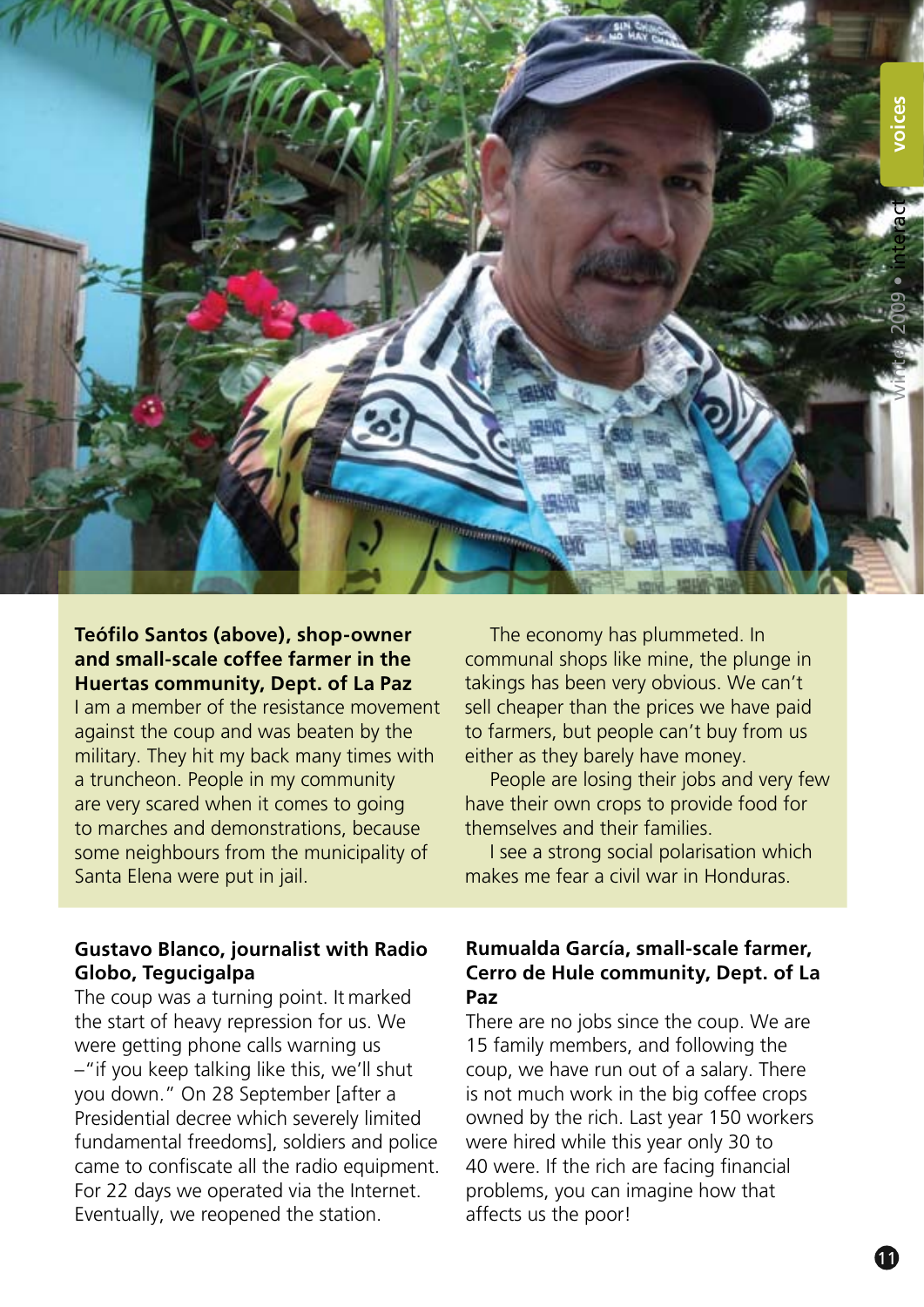

**Teófilo Santos (above), shop-owner and small-scale coffee farmer in the Huertas community, Dept. of La Paz** 

I am a member of the resistance movement against the coup and was beaten by the military. They hit my back many times with a truncheon. People in my community are very scared when it comes to going to marches and demonstrations, because some neighbours from the municipality of Santa Elena were put in jail.

The economy has plummeted. In communal shops like mine, the plunge in takings has been very obvious. We can't sell cheaper than the prices we have paid to farmers, but people can't buy from us either as they barely have money.

People are losing their jobs and very few have their own crops to provide food for themselves and their families.

I see a strong social polarisation which makes me fear a civil war in Honduras.

#### **Gustavo Blanco, journalist with Radio Globo, Tegucigalpa**

The coup was a turning point. It marked the start of heavy repression for us. We were getting phone calls warning us –"if you keep talking like this, we'll shut you down." On 28 September [after a Presidential decree which severely limited fundamental freedoms], soldiers and police came to confiscate all the radio equipment. For 22 days we operated via the Internet. Eventually, we reopened the station.

#### **Rumualda García, small-scale farmer, Cerro de Hule community, Dept. of La Paz**

There are no jobs since the coup. We are 15 family members, and following the coup, we have run out of a salary. There is not much work in the big coffee crops owned by the rich. Last year 150 workers were hired while this year only 30 to 40 were. If the rich are facing financial problems, you can imagine how that affects us the poor!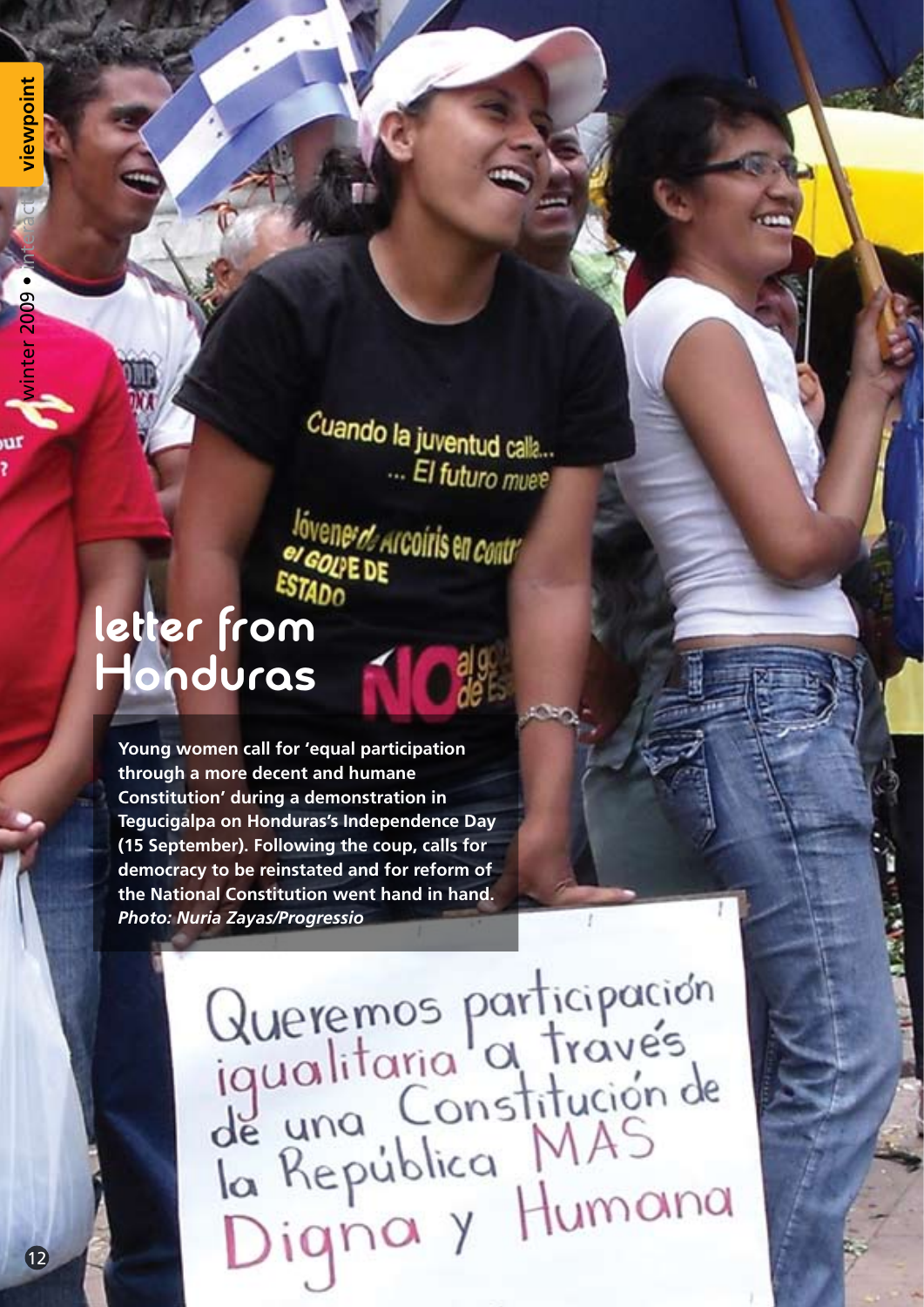$009 -$ 

12

Cuando la juventud calla...<br>El futuro mues

 $\frac{2}{3}$ 

**letter from Honduras**

**Young women call for 'equal participation through a more decent and humane Constitution' during a demonstration in Tegucigalpa on Honduras's Independence Day (15 September). Following the coup, calls for democracy to be reinstated and for reform of the National Constitution went hand in hand.** *Photo: Nuria Zayas/Progressio*

> Queremos participación<br>igualitaria a través<br>de una Constitución de<br>la República MAS la República MAJ<br>Digna y Humana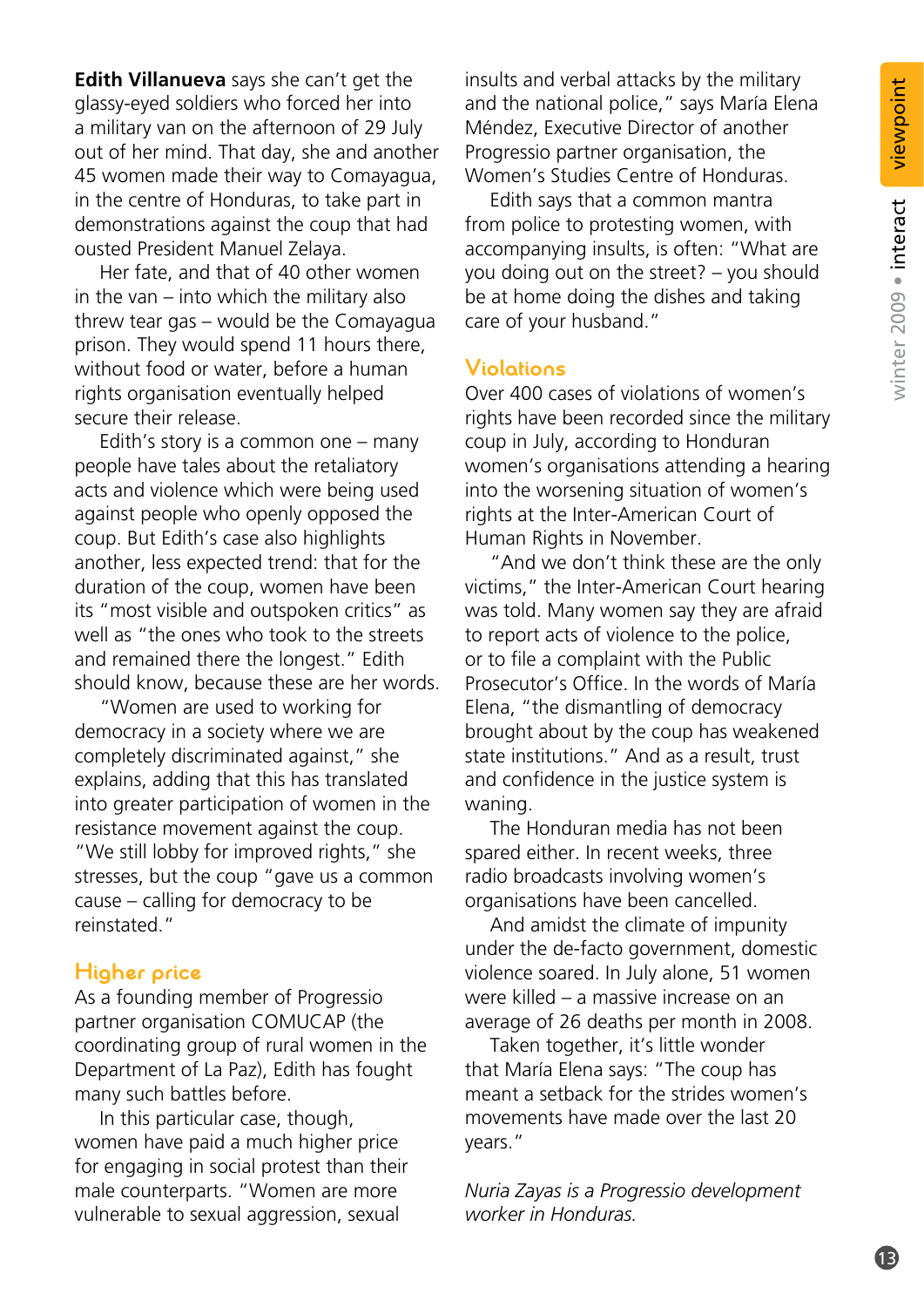**Edith Villanueva** says she can't get the glassy-eyed soldiers who forced her into a military van on the afternoon of 29 July out of her mind. That day, she and another 45 women made their way to Comayagua, in the centre of Honduras, to take part in demonstrations against the coup that had ousted President Manuel Zelaya.

Her fate, and that of 40 other women in the van – into which the military also threw tear gas – would be the Comayagua prison. They would spend 11 hours there, without food or water, before a human rights organisation eventually helped secure their release.

Edith's story is a common one – many people have tales about the retaliatory acts and violence which were being used against people who openly opposed the coup. But Edith's case also highlights another, less expected trend: that for the duration of the coup, women have been its "most visible and outspoken critics" as well as "the ones who took to the streets and remained there the longest." Edith should know, because these are her words.

"Women are used to working for democracy in a society where we are completely discriminated against," she explains, adding that this has translated into greater participation of women in the resistance movement against the coup. "We still lobby for improved rights," she stresses, but the coup "gave us a common cause – calling for democracy to be reinstated."

#### **Higher price**

As a founding member of Progressio partner organisation COMUCAP (the coordinating group of rural women in the Department of La Paz), Edith has fought many such battles before.

In this particular case, though, women have paid a much higher price for engaging in social protest than their male counterparts. "Women are more vulnerable to sexual aggression, sexual

insults and verbal attacks by the military and the national police," says María Elena Méndez, Executive Director of another Progressio partner organisation, the Women's Studies Centre of Honduras.

Edith says that a common mantra from police to protesting women, with accompanying insults, is often: "What are you doing out on the street? – you should be at home doing the dishes and taking care of your husband."

#### **Violations**

Over 400 cases of violations of women's rights have been recorded since the military coup in July, according to Honduran women's organisations attending a hearing into the worsening situation of women's rights at the Inter-American Court of Human Rights in November.

"And we don't think these are the only victims," the Inter-American Court hearing was told. Many women say they are afraid to report acts of violence to the police, or to file a complaint with the Public Prosecutor's Office. In the words of María Elena, "the dismantling of democracy brought about by the coup has weakened state institutions." And as a result, trust and confidence in the justice system is waning.

The Honduran media has not been spared either. In recent weeks, three radio broadcasts involving women's organisations have been cancelled.

And amidst the climate of impunity under the de-facto government, domestic violence soared. In July alone, 51 women were killed – a massive increase on an average of 26 deaths per month in 2008.

Taken together, it's little wonder that María Elena says: "The coup has meant a setback for the strides women's movements have made over the last 20 years."

*Nuria Zayas is a Progressio development worker in Honduras.*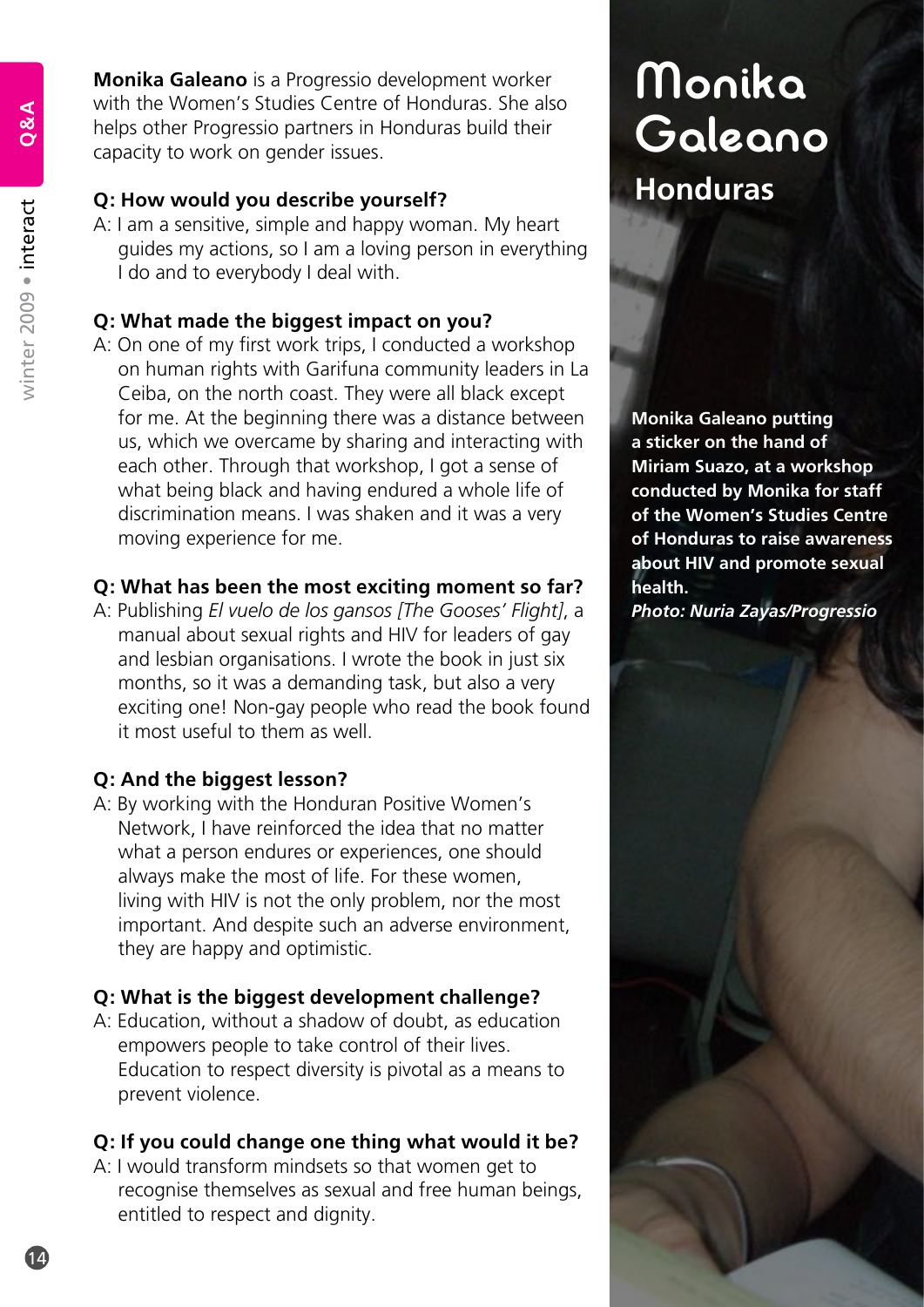**Monika Galeano** is a Progressio development worker with the Women's Studies Centre of Honduras. She also helps other Progressio partners in Honduras build their capacity to work on gender issues.

#### **Q: How would you describe yourself?**

A: I am a sensitive, simple and happy woman. My heart guides my actions, so I am a loving person in everything I do and to everybody I deal with.

#### **Q: What made the biggest impact on you?**

A: On one of my first work trips, I conducted a workshop on human rights with Garifuna community leaders in La Ceiba, on the north coast. They were all black except for me. At the beginning there was a distance between us, which we overcame by sharing and interacting with each other. Through that workshop, I got a sense of what being black and having endured a whole life of discrimination means. I was shaken and it was a very moving experience for me.

#### **Q: What has been the most exciting moment so far?**

A: Publishing *El vuelo de los gansos [The Gooses' Flight]*, a manual about sexual rights and HIV for leaders of gay and lesbian organisations. I wrote the book in just six months, so it was a demanding task, but also a very exciting one! Non-gay people who read the book found it most useful to them as well.

#### **Q: And the biggest lesson?**

A: By working with the Honduran Positive Women's Network, I have reinforced the idea that no matter what a person endures or experiences, one should always make the most of life. For these women, living with HIV is not the only problem, nor the most important. And despite such an adverse environment, they are happy and optimistic.

#### **Q: What is the biggest development challenge?**

A: Education, without a shadow of doubt, as education empowers people to take control of their lives. Education to respect diversity is pivotal as a means to prevent violence.

#### **Q: If you could change one thing what would it be?**

A: I would transform mindsets so that women get to recognise themselves as sexual and free human beings, entitled to respect and dignity.

# **Monika Galeano**

## **Honduras**

**Monika Galeano putting a sticker on the hand of Miriam Suazo, at a workshop conducted by Monika for staff of the Women's Studies Centre of Honduras to raise awareness about HIV and promote sexual health.**

*Photo: Nuria Zayas/Progressio*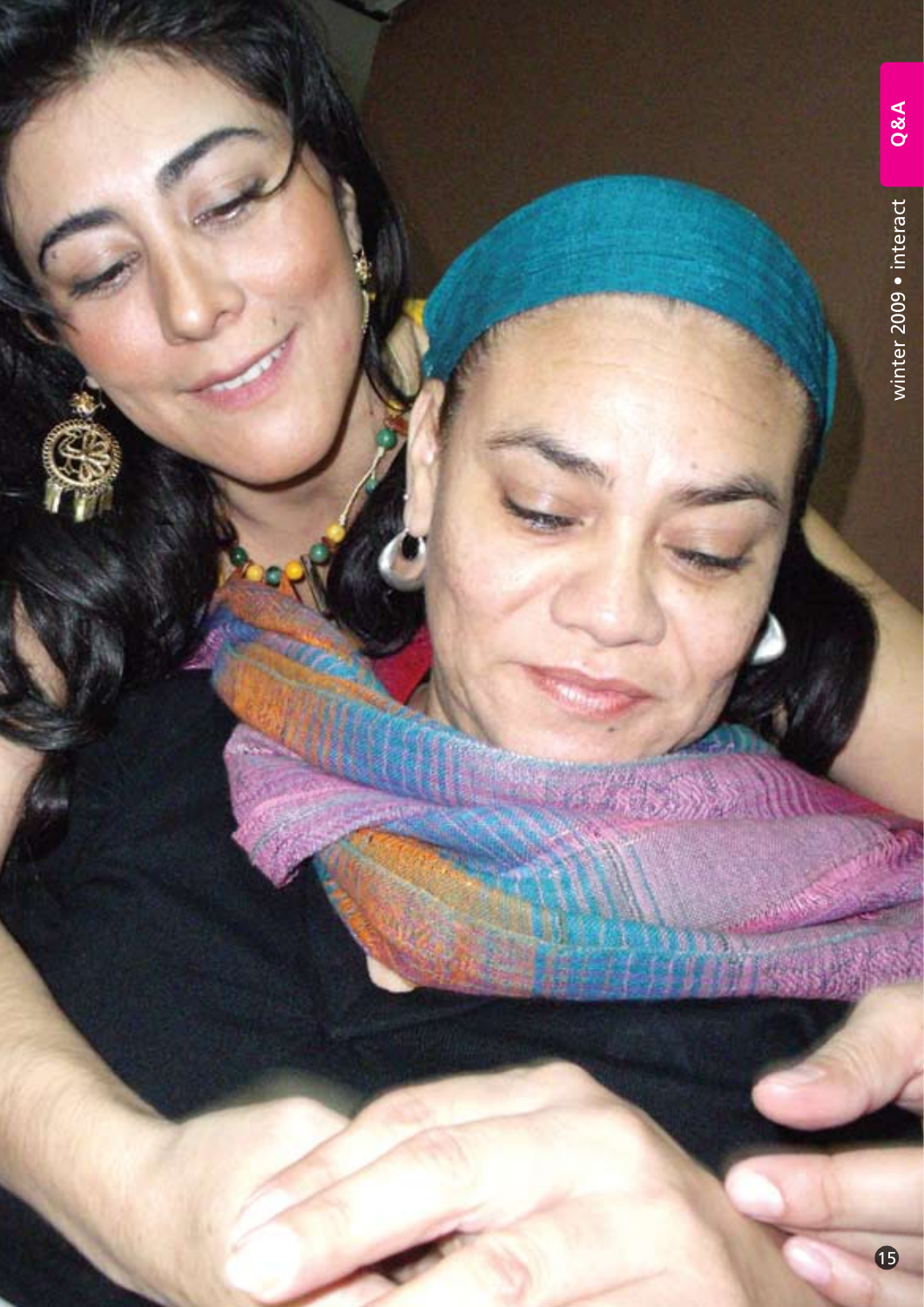